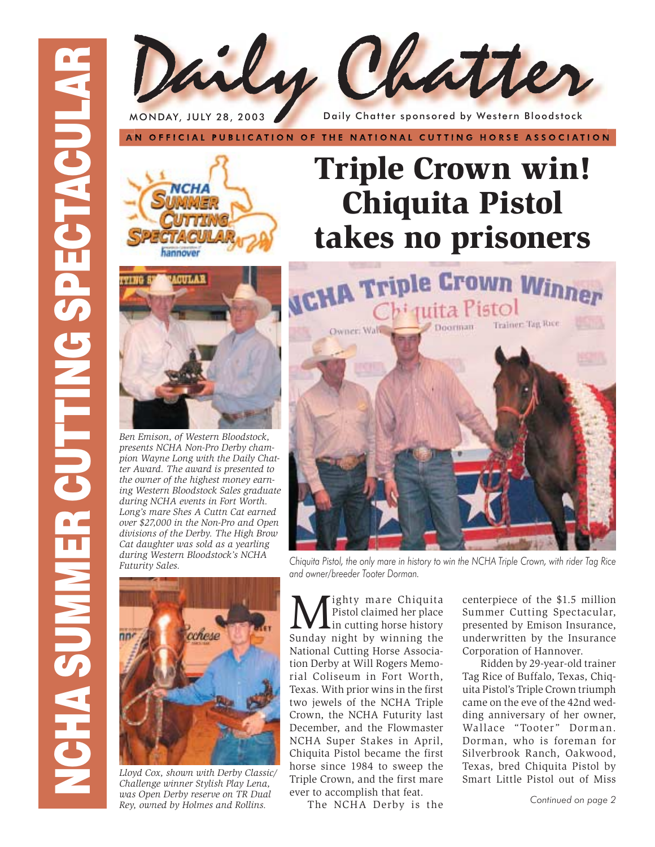

MONDAY, JULY 28, 2003 Daily Chatter sponsored by Western Bloodstock

AN OFFICIAL PUBLICATION OF THE NATIONAL CUTTING HORSE ASSOCIATION





*Ben Emison, of Western Bloodstock, presents NCHA Non-Pro Derby champion Wayne Long with the Daily Chatter Award. The award is presented to the owner of the highest money earning Western Bloodstock Sales graduate during NCHA events in Fort Worth. Long's mare Shes A Cuttn Cat earned over \$27,000 in the Non-Pro and Open divisions of the Derby. The High Brow Cat daughter was sold as a yearling during Western Bloodstock's NCHA Futurity Sales.*



*Lloyd Cox, shown with Derby Classic/ Challenge winner Stylish Play Lena, was Open Derby reserve on TR Dual Rey, owned by Holmes and Rollins.*





*Chiquita Pistol, the only mare in history to win the NCHA Triple Crown, with rider Tag Rice and owner/breeder Tooter Dorman.*

**M** ighty mare Chiquita<br>
in cutting horse history<br>
Sunday night by winning the Pistol claimed her place Sunday night by winning the National Cutting Horse Association Derby at Will Rogers Memorial Coliseum in Fort Worth, Texas. With prior wins in the first two jewels of the NCHA Triple Crown, the NCHA Futurity last December, and the Flowmaster NCHA Super Stakes in April, Chiquita Pistol became the first horse since 1984 to sweep the Triple Crown, and the first mare ever to accomplish that feat.

The NCHA Derby is the

centerpiece of the \$1.5 million Summer Cutting Spectacular, presented by Emison Insurance, underwritten by the Insurance Corporation of Hannover.

Ridden by 29-year-old trainer Tag Rice of Buffalo, Texas, Chiquita Pistol's Triple Crown triumph came on the eve of the 42nd wedding anniversary of her owner, Wallace "Tooter" Dorman. Dorman, who is foreman for Silverbrook Ranch, Oakwood, Texas, bred Chiquita Pistol by Smart Little Pistol out of Miss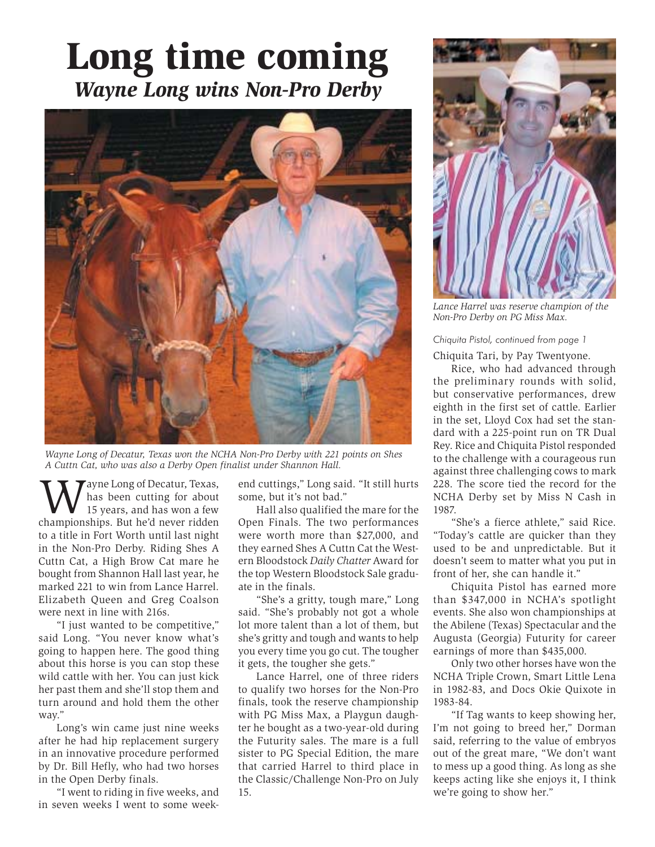### **Long time coming** *Wayne Long wins Non-Pro Derby*



*Wayne Long of Decatur, Texas won the NCHA Non-Pro Derby with 221 points on Shes A Cuttn Cat, who was also a Derby Open finalist under Shannon Hall.*

We are Long of Decatur, Texas,<br>
15 years, and has won a few<br>
championships, But he'd never ridden has been cutting for about championships. But he'd never ridden to a title in Fort Worth until last night in the Non-Pro Derby. Riding Shes A Cuttn Cat, a High Brow Cat mare he bought from Shannon Hall last year, he marked 221 to win from Lance Harrel. Elizabeth Queen and Greg Coalson were next in line with 216s.

 "I just wanted to be competitive," said Long. "You never know what's going to happen here. The good thing about this horse is you can stop these wild cattle with her. You can just kick her past them and she'll stop them and turn around and hold them the other way."

 Long's win came just nine weeks after he had hip replacement surgery in an innovative procedure performed by Dr. Bill Hefly, who had two horses in the Open Derby finals.

 "I went to riding in five weeks, and in seven weeks I went to some weekend cuttings," Long said. "It still hurts some, but it's not bad."

 Hall also qualified the mare for the Open Finals. The two performances were worth more than \$27,000, and they earned Shes A Cuttn Cat the Western Bloodstock *Daily Chatter* Award for the top Western Bloodstock Sale graduate in the finals.

 "She's a gritty, tough mare," Long said. "She's probably not got a whole lot more talent than a lot of them, but she's gritty and tough and wants to help you every time you go cut. The tougher it gets, the tougher she gets."

 Lance Harrel, one of three riders to qualify two horses for the Non-Pro finals, took the reserve championship with PG Miss Max, a Playgun daughter he bought as a two-year-old during the Futurity sales. The mare is a full sister to PG Special Edition, the mare that carried Harrel to third place in the Classic/Challenge Non-Pro on July 15.



*Lance Harrel was reserve champion of the Non-Pro Derby on PG Miss Max.*

*Chiquita Pistol, continued from page 1*

Chiquita Tari, by Pay Twentyone.

 Rice, who had advanced through the preliminary rounds with solid, but conservative performances, drew eighth in the first set of cattle. Earlier in the set, Lloyd Cox had set the standard with a 225-point run on TR Dual Rey. Rice and Chiquita Pistol responded to the challenge with a courageous run against three challenging cows to mark 228. The score tied the record for the NCHA Derby set by Miss N Cash in 1987.

 "She's a fierce athlete," said Rice. "Today's cattle are quicker than they used to be and unpredictable. But it doesn't seem to matter what you put in front of her, she can handle it."

 Chiquita Pistol has earned more than \$347,000 in NCHA's spotlight events. She also won championships at the Abilene (Texas) Spectacular and the Augusta (Georgia) Futurity for career earnings of more than \$435,000.

 Only two other horses have won the NCHA Triple Crown, Smart Little Lena in 1982-83, and Docs Okie Quixote in 1983-84.

 "If Tag wants to keep showing her, I'm not going to breed her," Dorman said, referring to the value of embryos out of the great mare, "We don't want to mess up a good thing. As long as she keeps acting like she enjoys it, I think we're going to show her."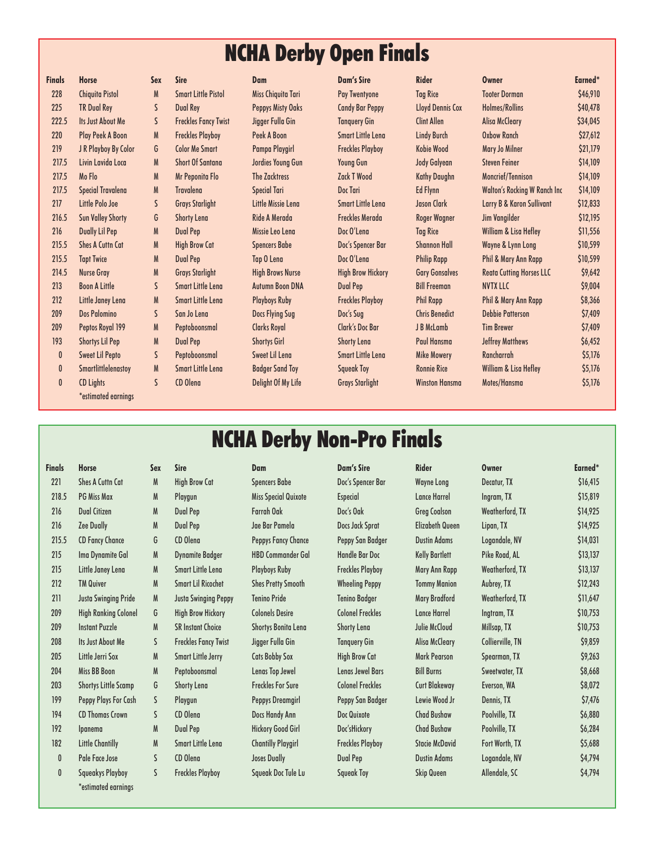#### NCHA Derby Open Finals

| <b>Finals</b>    | <b>Horse</b>               | <b>Sex</b>   | <b>Sire</b>                 | Dam                      | Dam's Sire               | <b>Rider</b>            | <b>Owner</b>                         | Earned*  |
|------------------|----------------------------|--------------|-----------------------------|--------------------------|--------------------------|-------------------------|--------------------------------------|----------|
| 228              | <b>Chiquita Pistol</b>     | M            | <b>Smart Little Pistol</b>  | Miss Chiquita Tari       | Pay Twentyone            | <b>Tag Rice</b>         | <b>Tooter Dorman</b>                 | \$46,910 |
| 225              | <b>TR Dual Rey</b>         | $\mathsf{S}$ | <b>Dual Rey</b>             | <b>Peppys Misty Oaks</b> | <b>Candy Bar Peppy</b>   | <b>Lloyd Dennis Cox</b> | Holmes/Rollins                       | \$40,478 |
| 222.5            | <b>Its Just About Me</b>   | S.           | <b>Freckles Fancy Twist</b> | Jigger Fulla Gin         | <b>Tanguery Gin</b>      | <b>Clint Allen</b>      | <b>Alisa McCleary</b>                | \$34,045 |
| 220              | <b>Play Peek A Boon</b>    | M            | <b>Freckles Playboy</b>     | Peek A Boon              | <b>Smart Little Lena</b> | <b>Lindy Burch</b>      | <b>Oxbow Ranch</b>                   | \$27,612 |
| 219              | J R Playboy By Color       | G            | <b>Color Me Smart</b>       | Pampa Playgirl           | <b>Freckles Playboy</b>  | Kobie Wood              | Mary Jo Milner                       | \$21,179 |
| 217.5            | Livin Lavida Loca          | M            | <b>Short Of Santana</b>     | Jordies Young Gun        | <b>Young Gun</b>         | Jody Galyean            | <b>Steven Feiner</b>                 | \$14,109 |
| 217.5            | Mo Flo                     | M            | Mr Peponita Flo             | <b>The Zacktress</b>     | <b>Zack T Wood</b>       | <b>Kathy Daughn</b>     | <b>Moncrief/Tennison</b>             | \$14,109 |
| 217.5            | <b>Special Travalena</b>   | M            | <b>Travalena</b>            | <b>Special Tari</b>      | Doc Tari                 | <b>Ed Flynn</b>         | <b>Walton's Rocking W Ranch Inc</b>  | \$14,109 |
| 217              | Little Polo Joe            | S            | <b>Grays Starlight</b>      | Little Missie Lena       | <b>Smart Little Lena</b> | Jason Clark             | <b>Larry B &amp; Karon Sullivant</b> | \$12,833 |
| 216.5            | <b>Sun Valley Shorty</b>   | G            | <b>Shorty Lena</b>          | Ride A Merada            | <b>Freckles Merada</b>   | <b>Roger Wagner</b>     | Jim Vangilder                        | \$12,195 |
| 216              | <b>Dually Lil Pep</b>      | M            | <b>Dual Pep</b>             | Missie Leo Lena          | Doc O'Lena               | <b>Tag Rice</b>         | <b>William &amp; Lisa Hefley</b>     | \$11,556 |
| 215.5            | <b>Shes A Cuttn Cat</b>    | M            | <b>High Brow Cat</b>        | <b>Spencers Babe</b>     | Doc's Spencer Bar        | <b>Shannon Hall</b>     | Wayne & Lynn Long                    | \$10,599 |
| 215.5            | <b>Tapt Twice</b>          | M            | <b>Dual Pep</b>             | Tap O Lena               | Doc O'Lena               | <b>Philip Rapp</b>      | Phil & Mary Ann Rapp                 | \$10,599 |
| 214.5            | <b>Nurse Gray</b>          | M            | <b>Grays Starlight</b>      | <b>High Brows Nurse</b>  | <b>High Brow Hickory</b> | <b>Gary Gonsalves</b>   | <b>Reata Cutting Horses LLC</b>      | \$9,642  |
| 213              | <b>Boon A Little</b>       | S            | <b>Smart Little Lena</b>    | <b>Autumn Boon DNA</b>   | <b>Dual Pep</b>          | <b>Bill Freeman</b>     | <b>NVTX LLC</b>                      | \$9,004  |
| 212              | Little Janey Lena          | M            | <b>Smart Little Lena</b>    | <b>Playboys Ruby</b>     | <b>Freckles Playboy</b>  | <b>Phil Rapp</b>        | <b>Phil &amp; Mary Ann Rapp</b>      | \$8,366  |
| 209              | <b>Dos Palomino</b>        | S            | San Jo Lena                 | Docs Flying Sug          | Doc's Sug                | <b>Chris Benedict</b>   | <b>Debbie Patterson</b>              | \$7,409  |
| 209              | Peptos Royal 199           | M            | Peptoboonsmal               | <b>Clarks Royal</b>      | <b>Clark's Doc Bar</b>   | J B McLamb              | <b>Tim Brewer</b>                    | \$7,409  |
| 193              | <b>Shortys Lil Pep</b>     | M            | <b>Dual Pep</b>             | <b>Shortys Girl</b>      | <b>Shorty Lena</b>       | Paul Hansma             | <b>Jeffrey Matthews</b>              | \$6,452  |
| $\boldsymbol{0}$ | <b>Sweet Lil Pepto</b>     | S            | Peptoboonsmal               | Sweet Lil Lena           | <b>Smart Little Lena</b> | <b>Mike Mowery</b>      | <b>Rancharrah</b>                    | \$5,176  |
| $\boldsymbol{0}$ | <b>Smartlittlelenastoy</b> | M            | <b>Smart Little Lena</b>    | <b>Badger Sand Toy</b>   | <b>Squeak Toy</b>        | <b>Ronnie Rice</b>      | William & Lisa Hefley                | \$5,176  |
| $\mathbf{0}$     | <b>CD Lights</b>           | S            | CD Olena                    | Delight Of My Life       | <b>Grays Starlight</b>   | <b>Winston Hansma</b>   | Motes/Hansma                         | \$5,176  |
|                  | *estimated earnings        |              |                             |                          |                          |                         |                                      |          |
|                  |                            |              |                             |                          |                          |                         |                                      |          |

| <b>Finals</b>    | <b>Horse</b>               | <b>Sex</b>   | <b>Sire</b>                 | <b>Dam</b>                | <b>Dam's Sire</b>        | <b>Rider</b>            | <b>Owner</b>                        | Earned*  |  |
|------------------|----------------------------|--------------|-----------------------------|---------------------------|--------------------------|-------------------------|-------------------------------------|----------|--|
| 228              | <b>Chiquita Pistol</b>     | M            | <b>Smart Little Pistol</b>  | <b>Miss Chiquita Tari</b> | <b>Pay Twentyone</b>     | <b>Tag Rice</b>         | <b>Tooter Dorman</b>                | \$46,910 |  |
| 225              | <b>TR Dual Rey</b>         | $\mathsf{S}$ | <b>Dual Rey</b>             | <b>Peppys Misty Oaks</b>  | <b>Candy Bar Peppy</b>   | <b>Lloyd Dennis Cox</b> | <b>Holmes/Rollins</b>               | \$40,478 |  |
| 222.5            | <b>Its Just About Me</b>   | S.           | <b>Freckles Fancy Twist</b> | Jigger Fulla Gin          | <b>Tanguery Gin</b>      | <b>Clint Allen</b>      | <b>Alisa McCleary</b>               | \$34,045 |  |
| 220              | <b>Play Peek A Boon</b>    | M            | <b>Freckles Playboy</b>     | Peek A Boon               | Smart Little Lena        | <b>Lindy Burch</b>      | <b>Oxbow Ranch</b>                  | \$27,612 |  |
| 219              | J R Playboy By Color       | G            | <b>Color Me Smart</b>       | Pampa Playgirl            | <b>Freckles Playboy</b>  | Kobie Wood              | Mary Jo Milner                      | \$21,179 |  |
| 217.5            | Livin Lavida Loca          | M            | <b>Short Of Santana</b>     | Jordies Young Gun         | <b>Young Gun</b>         | Jody Galyean            | <b>Steven Feiner</b>                | \$14,109 |  |
| 217.5            | Mo Flo                     | M            | Mr Peponita Flo             | <b>The Zacktress</b>      | <b>Zack T Wood</b>       | <b>Kathy Daughn</b>     | Moncrief/Tennison                   | \$14,109 |  |
| 217.5            | <b>Special Travalena</b>   | M            | <b>Travalena</b>            | <b>Special Tari</b>       | <b>Doc Tari</b>          | <b>Ed Flynn</b>         | <b>Walton's Rocking W Ranch Inc</b> | \$14,109 |  |
| 217              | Little Polo Joe            | $\mathsf{S}$ | <b>Grays Starlight</b>      | Little Missie Lena        | <b>Smart Little Lena</b> | Jason Clark             | Larry B & Karon Sullivant           | \$12,833 |  |
| 216.5            | <b>Sun Valley Shorty</b>   | G            | <b>Shorty Lena</b>          | Ride A Merada             | <b>Freckles Merada</b>   | <b>Roger Wagner</b>     | Jim Vangilder                       | \$12,195 |  |
| 216              | <b>Dually Lil Pep</b>      | M            | Dual Pep                    | Missie Leo Lena           | Doc O'Lena               | <b>Tag Rice</b>         | <b>William &amp; Lisa Hefley</b>    | \$11,556 |  |
| 215.5            | <b>Shes A Cuttn Cat</b>    | M            | <b>High Brow Cat</b>        | <b>Spencers Babe</b>      | Doc's Spencer Bar        | <b>Shannon Hall</b>     | Wayne & Lynn Long                   | \$10,599 |  |
| 215.5            | <b>Tapt Twice</b>          | ${\sf M}$    | <b>Dual Pep</b>             | Tap O Lena                | Doc O'Lena               | <b>Philip Rapp</b>      | Phil & Mary Ann Rapp                | \$10,599 |  |
| 214.5            | Nurse Gray                 | M            | <b>Grays Starlight</b>      | <b>High Brows Nurse</b>   | <b>High Brow Hickory</b> | <b>Gary Gonsalves</b>   | <b>Reata Cutting Horses LLC</b>     | \$9,642  |  |
| 213              | <b>Boon A Little</b>       | $\mathsf{S}$ | <b>Smart Little Lena</b>    | <b>Autumn Boon DNA</b>    | <b>Dual Pep</b>          | <b>Bill Freeman</b>     | <b>NVTX LLC</b>                     | \$9,004  |  |
| 212              | Little Janey Lena          | M            | <b>Smart Little Lena</b>    | <b>Playboys Ruby</b>      | <b>Freckles Playboy</b>  | <b>Phil Rapp</b>        | <b>Phil &amp; Mary Ann Rapp</b>     | \$8,366  |  |
| 209              | <b>Dos Palomino</b>        | $\mathsf{S}$ | San Jo Lena                 | Docs Flying Sug           | Doc's Sug                | <b>Chris Benedict</b>   | <b>Debbie Patterson</b>             | \$7,409  |  |
| 209              | Peptos Royal 199           | M            | Peptoboonsmal               | <b>Clarks Royal</b>       | <b>Clark's Doc Bar</b>   | J B McLamb              | <b>Tim Brewer</b>                   | \$7,409  |  |
| 193              | <b>Shortys Lil Pep</b>     | M            | <b>Dual Pep</b>             | <b>Shortys Girl</b>       | <b>Shorty Lena</b>       | Paul Hansma             | <b>Jeffrey Matthews</b>             | \$6,452  |  |
| $\boldsymbol{0}$ | <b>Sweet Lil Pepto</b>     | S            | Peptoboonsmal               | <b>Sweet Lil Lena</b>     | <b>Smart Little Lena</b> | <b>Mike Mowery</b>      | <b>Rancharrah</b>                   | \$5,176  |  |
| $\boldsymbol{0}$ | <b>Smartlittlelenastoy</b> | M            | <b>Smart Little Lena</b>    | <b>Badger Sand Toy</b>    | <b>Squeak Toy</b>        | <b>Ronnie Rice</b>      | William & Lisa Hefley               | \$5,176  |  |
| $\mathbf{0}$     | <b>CD Lights</b>           | S            | <b>CD Olena</b>             | Delight Of My Life        | <b>Grays Starlight</b>   | <b>Winston Hansma</b>   | Motes/Hansma                        | \$5,176  |  |
|                  |                            |              |                             |                           |                          |                         |                                     |          |  |

#### NCHA Derby Non-Pro Finals

| <b>Finals</b> | <b>Horse</b>                | Sex | <b>Sire</b>                 | <b>Dam</b>                  | <b>Dam's Sire</b>       | <b>Rider</b>           | <b>Owner</b>     | Earned*        |
|---------------|-----------------------------|-----|-----------------------------|-----------------------------|-------------------------|------------------------|------------------|----------------|
| 221           | <b>Shes A Cuttn Cat</b>     | M   | <b>High Brow Cat</b>        | <b>Spencers Babe</b>        | Doc's Spencer Bar       | <b>Wayne Long</b>      | Decatur, TX      | \$16,415       |
| 218.5         | <b>PG Miss Max</b>          | M   | Playgun                     | <b>Miss Special Quixote</b> | <b>Especial</b>         | <b>Lance Harrel</b>    | Ingram, TX       | \$15,819       |
| 216           | <b>Dual Citizen</b>         | M   | <b>Dual Pep</b>             | <b>Farrah Oak</b>           | Doc's Oak               | <b>Greg Coalson</b>    | Weatherford, TX  | \$14,925       |
| 216           | <b>Zee Dually</b>           | M   | <b>Dual Pep</b>             | Jae Bar Pamela              | Docs Jack Sprat         | <b>Elizabeth Queen</b> | Lipan, TX        | \$14,925       |
| 215.5         | <b>CD Fancy Chance</b>      | G   | CD Olena                    | Peppys Fancy Chance         | Peppy San Badger        | <b>Dustin Adams</b>    | Logandale, NV    | \$14,031       |
| 215           | Ima Dynamite Gal            | M   | <b>Dynamite Badger</b>      | <b>HBD Commander Gal</b>    | <b>Handle Bar Doc</b>   | <b>Kelly Bartlett</b>  | Pike Road, AL    | \$13,137       |
| 215           | Little Janey Lena           | M   | <b>Smart Little Lena</b>    | <b>Playboys Ruby</b>        | <b>Freckles Playboy</b> | Mary Ann Rapp          | Weatherford, TX  | \$13,137       |
| 212           | <b>TM Quiver</b>            | M   | <b>Smart Lil Ricochet</b>   | <b>Shes Pretty Smooth</b>   | <b>Wheeling Peppy</b>   | <b>Tommy Manion</b>    | Aubrey, TX       | \$12,243       |
| 211           | <b>Justa Swinging Pride</b> | M   | <b>Justa Swinging Peppy</b> | <b>Tenino Pride</b>         | <b>Tenino Badger</b>    | <b>Mary Bradford</b>   | Weatherford, TX  | \$11,647       |
| 209           | <b>High Ranking Colonel</b> | G   | <b>High Brow Hickory</b>    | <b>Colonels Desire</b>      | <b>Colonel Freckles</b> | <b>Lance Harrel</b>    | Ingtram, TX      | \$10,753       |
| 209           | <b>Instant Puzzle</b>       | M   | <b>SR Instant Choice</b>    | <b>Shortys Bonita Lena</b>  | <b>Shorty Lena</b>      | Julie McCloud          | Millsap, TX      | \$10,753       |
| 208           | <b>Its Just About Me</b>    | S.  | <b>Freckles Fancy Twist</b> | Jigger Fulla Gin            | <b>Tanguery Gin</b>     | <b>Alisa McCleary</b>  | Collierville, TN | \$9,859        |
| 205           | Little Jerri Sox            | M   | <b>Smart Little Jerry</b>   | <b>Cats Bobby Sox</b>       | <b>High Brow Cat</b>    | <b>Mark Pearson</b>    | Spearman, TX     | \$9,263        |
| 204           | Miss BB Boon                | M   | Peptoboonsmal               | Lenas Top Jewel             | <b>Lenas Jewel Bars</b> | <b>Bill Burns</b>      | Sweetwater, TX   | \$8,668        |
| 203           | <b>Shortys Little Scamp</b> | G   | <b>Shorty Lena</b>          | <b>Freckles For Sure</b>    | <b>Colonel Freckles</b> | <b>Curt Blakeway</b>   | Everson, WA      | \$8,072        |
| 199           | Peppy Plays For Cash        | S   | Playgun                     | Peppys Dreamgirl            | Peppy San Badger        | Lewie Wood Jr          | Dennis, TX       | \$7,476        |
| 194           | <b>CD Thomas Crown</b>      | S   | CD Olena                    | Docs Handy Ann              | Doc Quixote             | <b>Chad Bushaw</b>     | Poolville, TX    | \$6,880        |
| 192           | Ipanema                     | M   | Dual Pep                    | <b>Hickory Good Girl</b>    | Doc'sHickory            | <b>Chad Bushaw</b>     | Poolville, TX    | \$6,284        |
| 182           | <b>Little Chantilly</b>     | M   | <b>Smart Little Lena</b>    | <b>Chantilly Playgirl</b>   | <b>Freckles Playboy</b> | <b>Stacie McDavid</b>  | Fort Worth, TX   | \$5,688        |
| 0             | Pale Face Jose              | S.  | CD Olena                    | Joses Dually                | <b>Dual Pep</b>         | <b>Dustin Adams</b>    | Logandale, NV    | \$4,794        |
| 0             | Saueakys Playbov            | S   | <b>Freckles Playbov</b>     | Saueak Doc Tule Lu          | <b>Saueak Tov</b>       | <b>Skip Queen</b>      | Allendale, SC    | <b>\$4.794</b> |